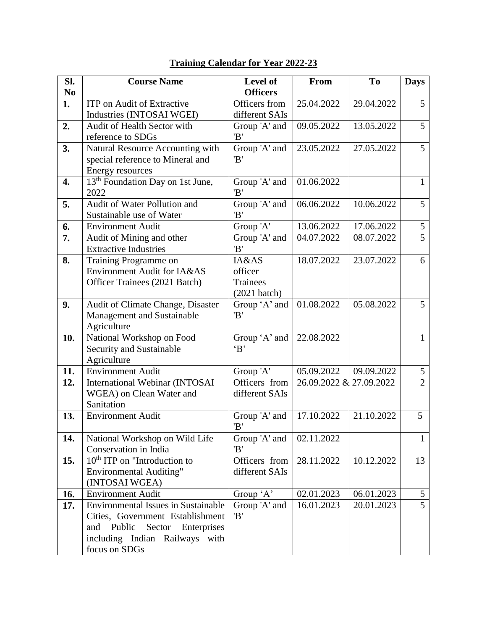| SI.            | <b>Course Name</b>                                                                                                                                                          | Level of                                               | From                    | T <sub>o</sub> | <b>Days</b>    |
|----------------|-----------------------------------------------------------------------------------------------------------------------------------------------------------------------------|--------------------------------------------------------|-------------------------|----------------|----------------|
| N <sub>0</sub> |                                                                                                                                                                             | <b>Officers</b>                                        |                         |                |                |
| 1.             | <b>ITP</b> on Audit of Extractive<br>Industries (INTOSAI WGEI)                                                                                                              | Officers from<br>different SAIs                        | 25.04.2022              | 29.04.2022     | 5              |
| 2.             | Audit of Health Sector with<br>reference to SDGs                                                                                                                            | Group 'A' and<br>'B'                                   | 09.05.2022              | 13.05.2022     | $\overline{5}$ |
| 3.             | Natural Resource Accounting with<br>special reference to Mineral and<br>Energy resources                                                                                    | Group 'A' and<br>'B'                                   | 23.05.2022              | 27.05.2022     | 5 <sup>5</sup> |
| 4.             | 13 <sup>th</sup> Foundation Day on 1st June,<br>2022                                                                                                                        | Group 'A' and<br>'B'                                   | 01.06.2022              |                | $\mathbf{1}$   |
| 5.             | Audit of Water Pollution and<br>Sustainable use of Water                                                                                                                    | Group 'A' and<br>'B'                                   | 06.06.2022              | 10.06.2022     | 5 <sup>1</sup> |
| 6.             | <b>Environment Audit</b>                                                                                                                                                    | Group 'A'                                              | 13.06.2022              | 17.06.2022     | $\mathfrak{S}$ |
| 7.             | Audit of Mining and other<br><b>Extractive Industries</b>                                                                                                                   | Group 'A' and<br>'B'                                   | 04.07.2022              | 08.07.2022     | $\overline{5}$ |
| 8.             | Training Programme on<br>Environment Audit for IA&AS<br>Officer Trainees (2021 Batch)                                                                                       | IA&AS<br>officer<br><b>Trainees</b><br>$(2021)$ batch) | 18.07.2022              | 23.07.2022     | 6              |
| 9.             | Audit of Climate Change, Disaster<br>Management and Sustainable<br>Agriculture                                                                                              | Group 'A' and<br>'B'                                   | 01.08.2022              | 05.08.2022     | $5^{\circ}$    |
| 10.            | National Workshop on Food<br>Security and Sustainable<br>Agriculture                                                                                                        | Group 'A' and<br>B                                     | 22.08.2022              |                | $\mathbf{1}$   |
| 11.            | <b>Environment Audit</b>                                                                                                                                                    | Group 'A'                                              | 05.09.2022              | 09.09.2022     | 5              |
| 12.            | International Webinar (INTOSAI<br>WGEA) on Clean Water and<br>Sanitation                                                                                                    | Officers from<br>different SAIs                        | 26.09.2022 & 27.09.2022 |                | $\overline{2}$ |
| 13.            | <b>Environment Audit</b>                                                                                                                                                    | Group 'A' and<br>'B'                                   | 17.10.2022              | 21.10.2022     | 5              |
| 14.            | National Workshop on Wild Life<br>Conservation in India                                                                                                                     | Group 'A' and<br>'B'                                   | 02.11.2022              |                | $\mathbf{1}$   |
| 15.            | $10th$ ITP on "Introduction to<br><b>Environmental Auditing"</b><br>(INTOSAI WGEA)                                                                                          | Officers from<br>different SAIs                        | 28.11.2022              | 10.12.2022     | 13             |
| 16.            | <b>Environment Audit</b>                                                                                                                                                    | Group 'A'                                              | 02.01.2023              | 06.01.2023     | 5              |
| 17.            | <b>Environmental Issues in Sustainable</b><br>Cities, Government Establishment<br>Public<br>Sector<br>Enterprises<br>and<br>including Indian Railways with<br>focus on SDGs | Group 'A' and<br>'B'                                   | 16.01.2023              | 20.01.2023     | 5 <sup>1</sup> |

## **Training Calendar for Year 2022-23**